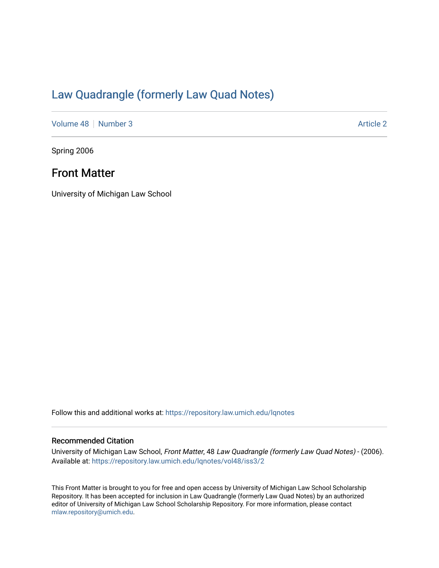# [Law Quadrangle \(formerly Law Quad Notes\)](https://repository.law.umich.edu/lqnotes)

[Volume 48](https://repository.law.umich.edu/lqnotes/vol48) [Number 3](https://repository.law.umich.edu/lqnotes/vol48/iss3) Article 2

Spring 2006

# Front Matter

University of Michigan Law School

Follow this and additional works at: [https://repository.law.umich.edu/lqnotes](https://repository.law.umich.edu/lqnotes?utm_source=repository.law.umich.edu%2Flqnotes%2Fvol48%2Fiss3%2F2&utm_medium=PDF&utm_campaign=PDFCoverPages) 

# Recommended Citation

University of Michigan Law School, Front Matter, 48 Law Quadrangle (formerly Law Quad Notes) - (2006). Available at: [https://repository.law.umich.edu/lqnotes/vol48/iss3/2](https://repository.law.umich.edu/lqnotes/vol48/iss3/2?utm_source=repository.law.umich.edu%2Flqnotes%2Fvol48%2Fiss3%2F2&utm_medium=PDF&utm_campaign=PDFCoverPages) 

This Front Matter is brought to you for free and open access by University of Michigan Law School Scholarship Repository. It has been accepted for inclusion in Law Quadrangle (formerly Law Quad Notes) by an authorized editor of University of Michigan Law School Scholarship Repository. For more information, please contact [mlaw.repository@umich.edu.](mailto:mlaw.repository@umich.edu)